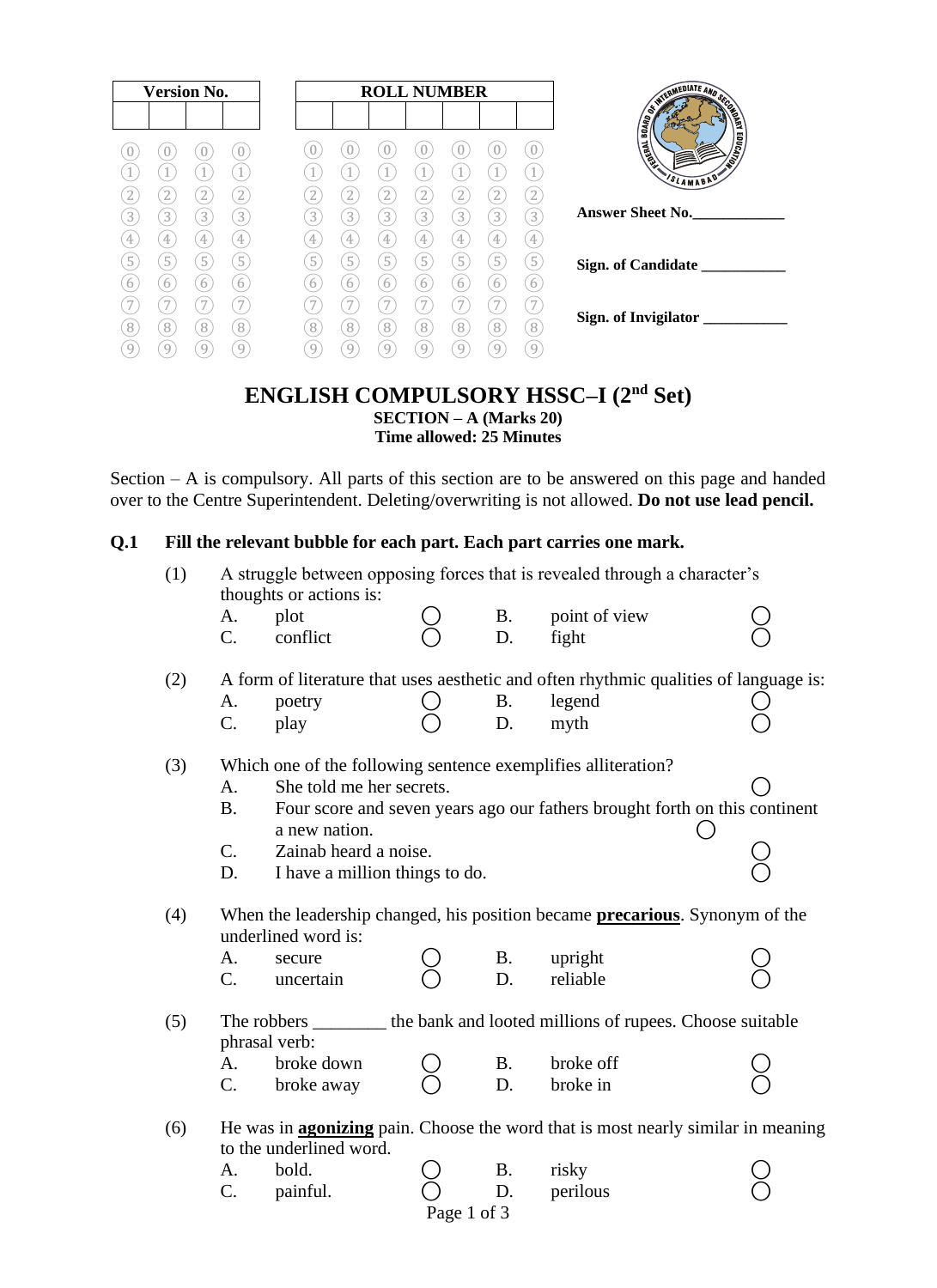| <b>Version No.</b>                   |                            | <b>ROLL NUMBER</b>         | TERMEDIATE AND S.                |
|--------------------------------------|----------------------------|----------------------------|----------------------------------|
|                                      |                            |                            | 6<br><b>PART</b><br><b>BOARD</b> |
| U                                    | $\theta$                   |                            | EDUCATION<br><b>TANKS</b>        |
|                                      | $\mathbf{1}$               |                            | VSLAMABAD                        |
| $\mathbf{2}$<br>2                    | $\overline{2}$<br>2        | 2<br>2                     |                                  |
| $\boxed{3}$<br>$\left[3\right]$<br>3 | $\left[3\right]$<br>3<br>3 | 3<br>3<br>3<br>3<br>3      | <b>Answer Sheet No.</b>          |
| 4<br>4                               | 4<br>4                     | 4<br>4<br>4<br>4           |                                  |
| 5<br>5<br>5<br>6<br>6                | 5<br>5<br>5<br>6<br>6      | 5<br>5<br>5<br>5<br>5<br>6 | Sign. of Candidate               |
| h<br>7                               | h<br>7                     | 6<br>6<br>b<br>h           |                                  |
| 8<br>8<br>8                          | 8<br>8<br>8                | 8<br>8<br>8<br>8<br>8      | Sign. of Invigilator ___         |
| 9<br>9<br>9                          | 9<br>9<br>9                | 9<br>9<br>g                |                                  |

#### **ENGLISH COMPULSORY HSSC–I (2nd Set) SECTION – A (Marks 20) Time allowed: 25 Minutes**

Section – A is compulsory. All parts of this section are to be answered on this page and handed over to the Centre Superintendent. Deleting/overwriting is not allowed. **Do not use lead pencil.**

#### **Q.1 Fill the relevant bubble for each part. Each part carries one mark.**

| (1) | A struggle between opposing forces that is revealed through a character's<br>thoughts or actions is: |                                                                                                            |  |                 |                                                                                         |  |  |  |  |  |  |
|-----|------------------------------------------------------------------------------------------------------|------------------------------------------------------------------------------------------------------------|--|-----------------|-----------------------------------------------------------------------------------------|--|--|--|--|--|--|
|     | A.<br>C.                                                                                             | plot<br>conflict                                                                                           |  | <b>B.</b><br>D. | point of view<br>fight                                                                  |  |  |  |  |  |  |
| (2) |                                                                                                      |                                                                                                            |  |                 | A form of literature that uses aesthetic and often rhythmic qualities of language is:   |  |  |  |  |  |  |
|     | A.                                                                                                   | poetry                                                                                                     |  | <b>B.</b>       | legend                                                                                  |  |  |  |  |  |  |
|     | C.                                                                                                   | play                                                                                                       |  | D.              | myth                                                                                    |  |  |  |  |  |  |
| (3) |                                                                                                      | Which one of the following sentence exemplifies alliteration?                                              |  |                 |                                                                                         |  |  |  |  |  |  |
|     | A.                                                                                                   | She told me her secrets.                                                                                   |  |                 |                                                                                         |  |  |  |  |  |  |
|     | <b>B.</b>                                                                                            |                                                                                                            |  |                 | Four score and seven years ago our fathers brought forth on this continent              |  |  |  |  |  |  |
|     | C.                                                                                                   | a new nation.<br>Zainab heard a noise.                                                                     |  |                 |                                                                                         |  |  |  |  |  |  |
|     | D.                                                                                                   | I have a million things to do.                                                                             |  |                 |                                                                                         |  |  |  |  |  |  |
| (4) |                                                                                                      | When the leadership changed, his position became <b>precarious</b> . Synonym of the<br>underlined word is: |  |                 |                                                                                         |  |  |  |  |  |  |
|     | A.                                                                                                   | secure                                                                                                     |  | <b>B.</b>       | upright                                                                                 |  |  |  |  |  |  |
|     | $C_{\cdot}$                                                                                          | uncertain                                                                                                  |  | D.              | reliable                                                                                |  |  |  |  |  |  |
| (5) |                                                                                                      | phrasal verb:                                                                                              |  |                 | The robbers _________ the bank and looted millions of rupees. Choose suitable           |  |  |  |  |  |  |
|     | A.                                                                                                   | broke down                                                                                                 |  | <b>B.</b>       | broke off                                                                               |  |  |  |  |  |  |
|     | $C_{\cdot}$                                                                                          | broke away                                                                                                 |  | D.              | broke in                                                                                |  |  |  |  |  |  |
| (6) |                                                                                                      | to the underlined word.                                                                                    |  |                 | He was in <b>agonizing</b> pain. Choose the word that is most nearly similar in meaning |  |  |  |  |  |  |
|     | А.                                                                                                   | bold.                                                                                                      |  | <b>B.</b>       | risky                                                                                   |  |  |  |  |  |  |
|     | C.                                                                                                   | painful.                                                                                                   |  | D.              | perilous                                                                                |  |  |  |  |  |  |
|     |                                                                                                      |                                                                                                            |  |                 |                                                                                         |  |  |  |  |  |  |

Page 1 of 3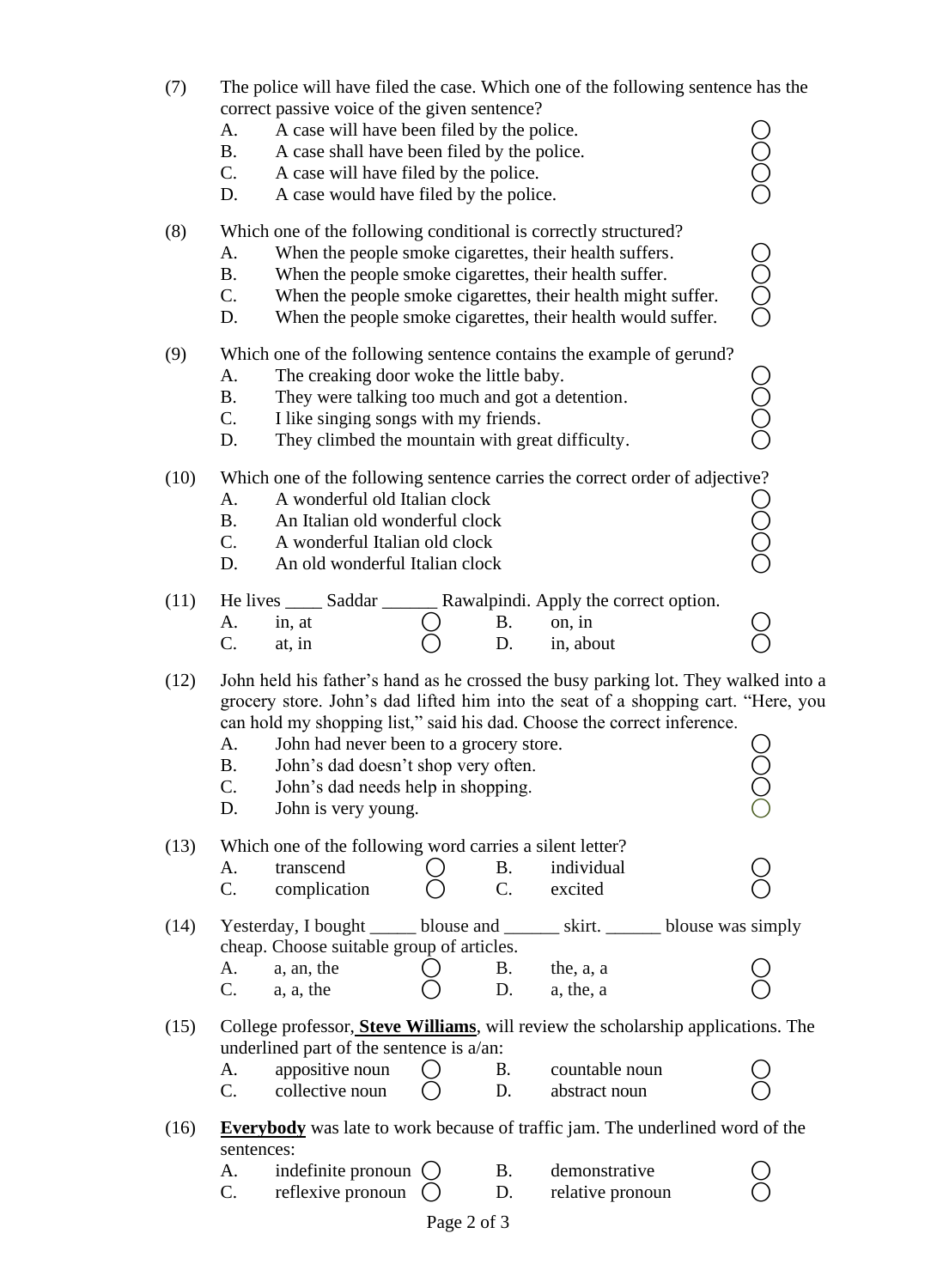| (7)  | A.<br><b>B.</b><br>C.<br>D.                                                                                                                                                                                                                                                                                                                                                                                                      | The police will have filed the case. Which one of the following sentence has the<br>correct passive voice of the given sentence?<br>A case will have been filed by the police.<br>A case shall have been filed by the police.<br>A case will have filed by the police.<br>A case would have filed by the police.     |  |                               |                                                                                                                             |  |  |  |  |  |
|------|----------------------------------------------------------------------------------------------------------------------------------------------------------------------------------------------------------------------------------------------------------------------------------------------------------------------------------------------------------------------------------------------------------------------------------|----------------------------------------------------------------------------------------------------------------------------------------------------------------------------------------------------------------------------------------------------------------------------------------------------------------------|--|-------------------------------|-----------------------------------------------------------------------------------------------------------------------------|--|--|--|--|--|
| (8)  | A.<br><b>B.</b><br>C.<br>D.                                                                                                                                                                                                                                                                                                                                                                                                      | Which one of the following conditional is correctly structured?<br>When the people smoke cigarettes, their health suffers.<br>When the people smoke cigarettes, their health suffer.<br>When the people smoke cigarettes, their health might suffer.<br>When the people smoke cigarettes, their health would suffer. |  |                               |                                                                                                                             |  |  |  |  |  |
| (9)  | Which one of the following sentence contains the example of gerund?<br>A.<br>The creaking door woke the little baby.<br><b>B.</b><br>They were talking too much and got a detention.<br>C.<br>I like singing songs with my friends.<br>They climbed the mountain with great difficulty.<br>D.                                                                                                                                    |                                                                                                                                                                                                                                                                                                                      |  |                               |                                                                                                                             |  |  |  |  |  |
| (10) | Which one of the following sentence carries the correct order of adjective?<br>A.<br>A wonderful old Italian clock<br><b>B.</b><br>An Italian old wonderful clock<br>$C_{\cdot}$<br>A wonderful Italian old clock<br>An old wonderful Italian clock<br>D.                                                                                                                                                                        |                                                                                                                                                                                                                                                                                                                      |  |                               |                                                                                                                             |  |  |  |  |  |
| (11) | A.<br>C.                                                                                                                                                                                                                                                                                                                                                                                                                         | in, at<br>at, in                                                                                                                                                                                                                                                                                                     |  | B.<br>D.                      | He lives ______ Saddar _________ Rawalpindi. Apply the correct option.<br>on, in<br>in, about                               |  |  |  |  |  |
| (12) | John held his father's hand as he crossed the busy parking lot. They walked into a<br>grocery store. John's dad lifted him into the seat of a shopping cart. "Here, you<br>can hold my shopping list," said his dad. Choose the correct inference.<br>A.<br>John had never been to a grocery store.<br><b>B.</b><br>John's dad doesn't shop very often.<br>C.<br>John's dad needs help in shopping.<br>D.<br>John is very young. |                                                                                                                                                                                                                                                                                                                      |  |                               |                                                                                                                             |  |  |  |  |  |
| (13) | A.<br>C.                                                                                                                                                                                                                                                                                                                                                                                                                         | Which one of the following word carries a silent letter?<br>transcend<br>complication                                                                                                                                                                                                                                |  | <b>B.</b><br>$\overline{C}$ . | individual<br>excited                                                                                                       |  |  |  |  |  |
| (14) | А.<br>$C_{\cdot}$                                                                                                                                                                                                                                                                                                                                                                                                                | cheap. Choose suitable group of articles.<br>a, an, the<br>a, a, the                                                                                                                                                                                                                                                 |  | Β.<br>D.                      | Yesterday, I bought _______ blouse and ________ skirt. ________ blouse was simply<br>the, a, a<br>a, the, a                 |  |  |  |  |  |
| (15) | А.<br>C.                                                                                                                                                                                                                                                                                                                                                                                                                         | underlined part of the sentence is a/an:<br>appositive noun<br>collective noun                                                                                                                                                                                                                                       |  | B.<br>D.                      | College professor, <b>Steve Williams</b> , will review the scholarship applications. The<br>countable noun<br>abstract noun |  |  |  |  |  |
| (16) | sentences:<br>А.<br>C.                                                                                                                                                                                                                                                                                                                                                                                                           | indefinite pronoun<br>reflexive pronoun                                                                                                                                                                                                                                                                              |  | <b>B.</b><br>D.               | <b>Everybody</b> was late to work because of traffic jam. The underlined word of the<br>demonstrative<br>relative pronoun   |  |  |  |  |  |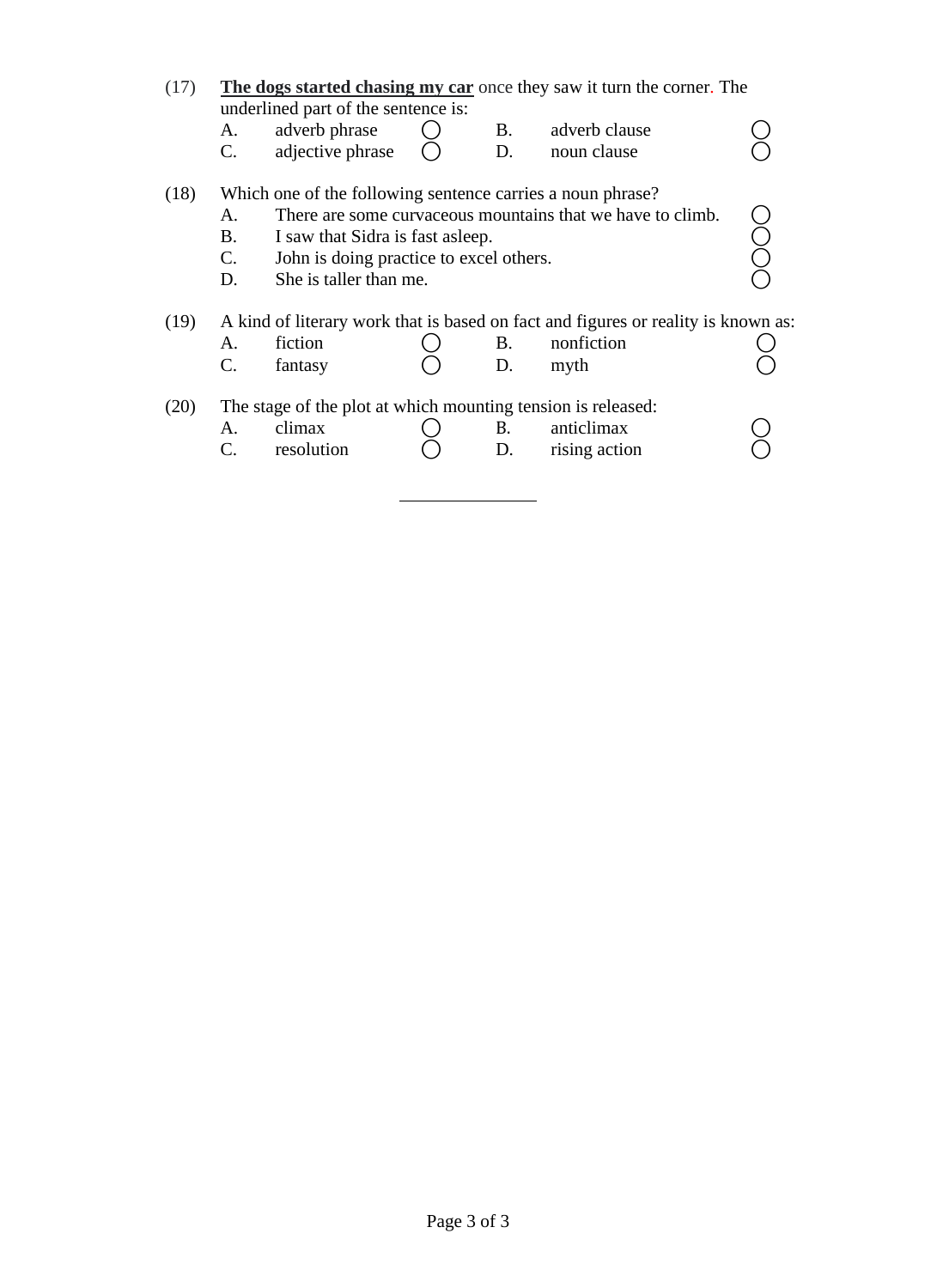| (17) |                               | underlined part of the sentence is:                                                                                                                                  |                  | The dogs started chasing my car once they saw it turn the corner. The                                   |  |
|------|-------------------------------|----------------------------------------------------------------------------------------------------------------------------------------------------------------------|------------------|---------------------------------------------------------------------------------------------------------|--|
|      | A.                            | adverb phrase                                                                                                                                                        | B.               | adverb clause                                                                                           |  |
|      | $C_{\cdot}$                   | adjective phrase                                                                                                                                                     | D.               | noun clause                                                                                             |  |
| (18) | A.<br>B.<br>$C_{\cdot}$<br>D. | Which one of the following sentence carries a noun phrase?<br>I saw that Sidra is fast as leep.<br>John is doing practice to excel others.<br>She is taller than me. |                  | There are some curvaceous mountains that we have to climb.                                              |  |
| (19) | A.<br>$\mathcal{C}$ .         | fiction<br>fantasy                                                                                                                                                   | <b>B</b> .<br>D. | A kind of literary work that is based on fact and figures or reality is known as:<br>nonfiction<br>myth |  |
| (20) | Α.                            | The stage of the plot at which mounting tension is released:<br>climax<br>resolution                                                                                 | В.<br>D.         | anticlimax<br>rising action                                                                             |  |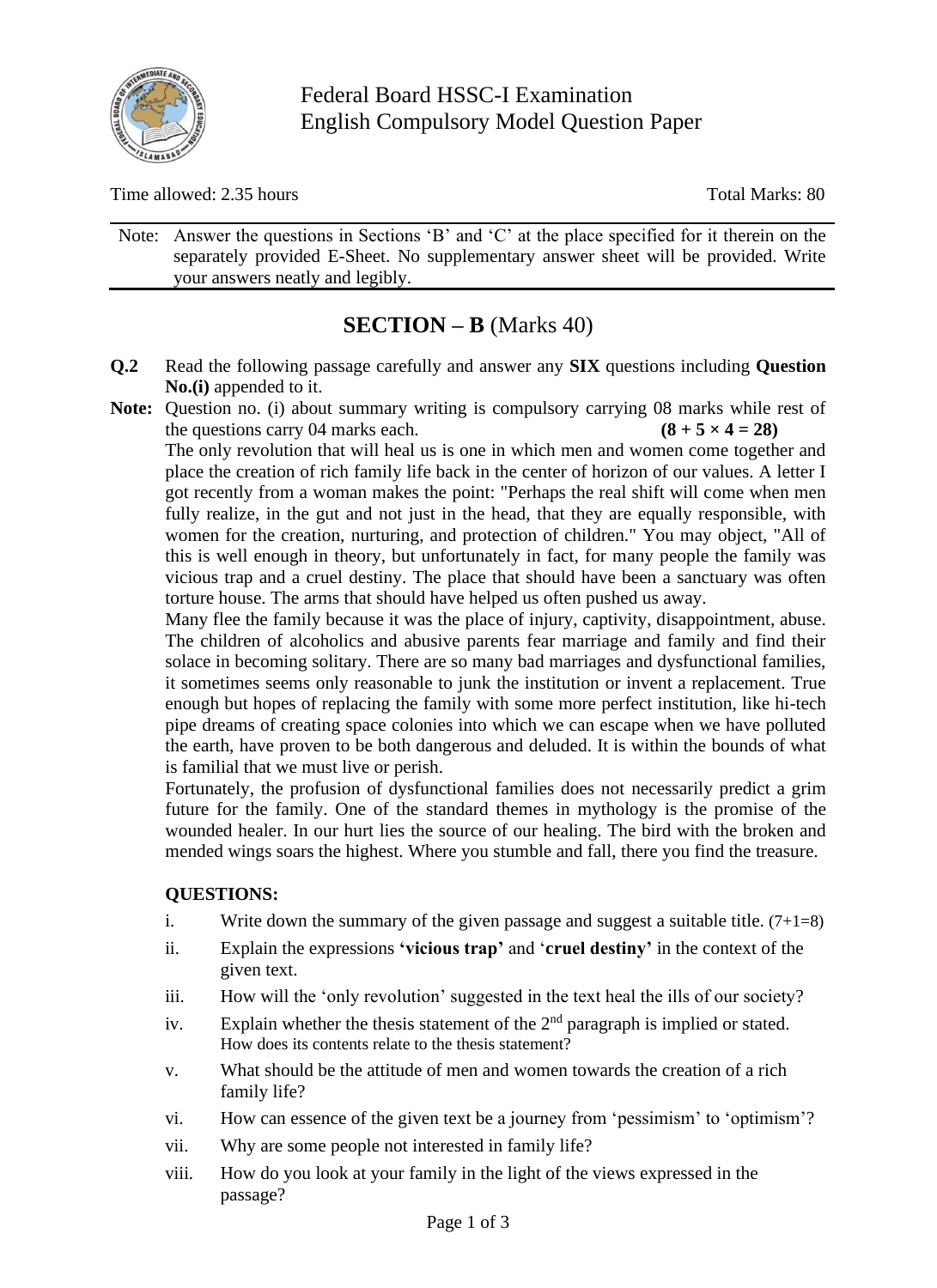

Federal Board HSSC-I Examination English Compulsory Model Question Paper

Time allowed: 2.35 hours Total Marks: 80

Note: Answer the questions in Sections 'B' and 'C' at the place specified for it therein on the separately provided E-Sheet. No supplementary answer sheet will be provided. Write your answers neatly and legibly.

# **SECTION – B** (Marks 40)

- **Q.2** Read the following passage carefully and answer any **SIX** questions including **Question No.(i)** appended to it.
- **Note:** Question no. (i) about summary writing is compulsory carrying 08 marks while rest of the questions carry 04 marks each.  $(8 + 5 \times 4 = 28)$

The only revolution that will heal us is one in which men and women come together and place the creation of rich family life back in the center of horizon of our values. A letter I got recently from a woman makes the point: "Perhaps the real shift will come when men fully realize, in the gut and not just in the head, that they are equally responsible, with women for the creation, nurturing, and protection of children." You may object, "All of this is well enough in theory, but unfortunately in fact, for many people the family was vicious trap and a cruel destiny. The place that should have been a sanctuary was often torture house. The arms that should have helped us often pushed us away.

Many flee the family because it was the place of injury, captivity, disappointment, abuse. The children of alcoholics and abusive parents fear marriage and family and find their solace in becoming solitary. There are so many bad marriages and dysfunctional families, it sometimes seems only reasonable to junk the institution or invent a replacement. True enough but hopes of replacing the family with some more perfect institution, like hi-tech pipe dreams of creating space colonies into which we can escape when we have polluted the earth, have proven to be both dangerous and deluded. It is within the bounds of what is familial that we must live or perish.

Fortunately, the profusion of dysfunctional families does not necessarily predict a grim future for the family. One of the standard themes in mythology is the promise of the wounded healer. In our hurt lies the source of our healing. The bird with the broken and mended wings soars the highest. Where you stumble and fall, there you find the treasure.

#### **QUESTIONS:**

- i. Write down the summary of the given passage and suggest a suitable title.  $(7+1=8)$
- ii. Explain the expressions **'vicious trap'** and '**cruel destiny'** in the context of the given text.
- iii. How will the 'only revolution' suggested in the text heal the ills of our society?
- iv. Explain whether the thesis statement of the  $2<sup>nd</sup>$  paragraph is implied or stated. How does its contents relate to the thesis statement?
- v. What should be the attitude of men and women towards the creation of a rich family life?
- vi. How can essence of the given text be a journey from 'pessimism' to 'optimism'?
- vii. Why are some people not interested in family life?
- viii. How do you look at your family in the light of the views expressed in the passage?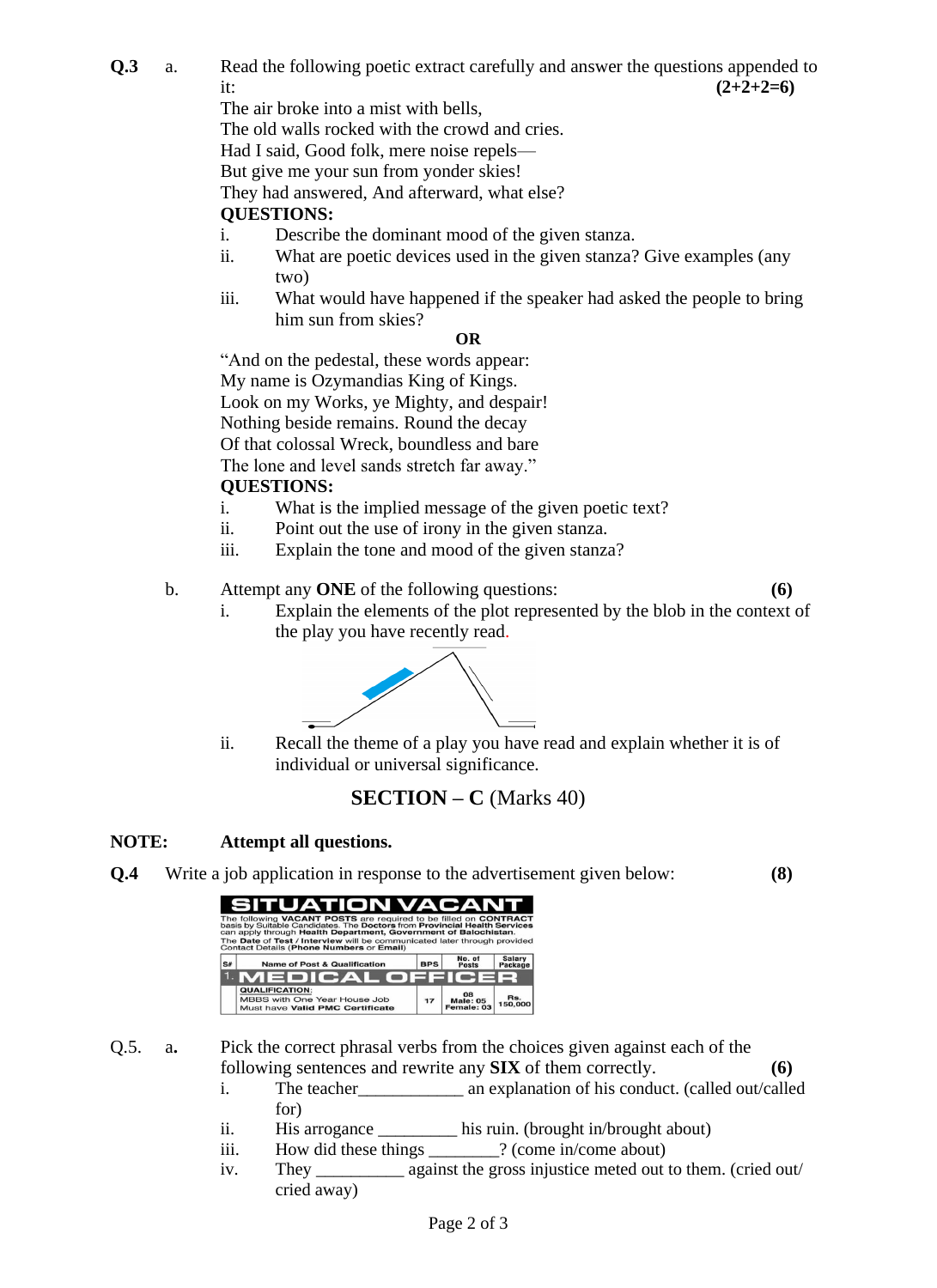**Q.3** a. Read the following poetic extract carefully and answer the questions appended to it:  $(2+2+2=6)$ 

The air broke into a mist with bells,

The old walls rocked with the crowd and cries.

Had I said, Good folk, mere noise repels—

But give me your sun from yonder skies!

They had answered, And afterward, what else?

### **QUESTIONS:**

i. Describe the dominant mood of the given stanza.

- ii. What are poetic devices used in the given stanza? Give examples (any two)
- iii. What would have happened if the speaker had asked the people to bring him sun from skies?

#### **OR**

"And on the pedestal, these words appear:

My name is Ozymandias King of Kings.

Look on my Works, ye Mighty, and despair!

Nothing beside remains. Round the decay

Of that colossal Wreck, boundless and bare

The lone and level sands stretch far away."

#### **QUESTIONS:**

- i. What is the implied message of the given poetic text?
- ii. Point out the use of irony in the given stanza.
- iii. Explain the tone and mood of the given stanza?
- b. Attempt any **ONE** of the following questions: **(6)**

i. Explain the elements of the plot represented by the blob in the context of the play you have recently read.



ii. Recall the theme of a play you have read and explain whether it is of individual or universal significance.

## **SECTION – C** (Marks 40)

#### **NOTE: Attempt all questions.**

**Q.4** Write a job application in response to the advertisement given below: **(8)**

|    | SITUATION VACANT<br>The following VACANT POSTS are required to be filled on CONTRACT<br>basis by Suitable Candidates. The Doctors from Provincial Health Services<br>can apply through Health Department, Government of Balochistan.<br>The Date of Test / Interview will be communicated later through provided<br>Contact Details (Phone Numbers or Email) |            |                                     |                          |
|----|--------------------------------------------------------------------------------------------------------------------------------------------------------------------------------------------------------------------------------------------------------------------------------------------------------------------------------------------------------------|------------|-------------------------------------|--------------------------|
| S# | <b>Name of Post &amp; Qualification</b>                                                                                                                                                                                                                                                                                                                      | <b>BPS</b> | No. of<br><b>Posts</b>              | <b>Salary</b><br>Package |
|    | 1. MEDICAL OFFICER                                                                                                                                                                                                                                                                                                                                           |            |                                     |                          |
|    | <b>QUALIFICATION:</b><br>MBBS with One Year House Job<br>Must have Valid PMC Certificate                                                                                                                                                                                                                                                                     | 17         | 08<br><b>Male: 05</b><br>Female: 03 | Rs.<br>150,000           |

Q.5. a**.** Pick the correct phrasal verbs from the choices given against each of the following sentences and rewrite any **SIX** of them correctly. **(6)**

- i. The teacher\_\_\_\_\_\_\_\_\_\_\_\_ an explanation of his conduct. (called out/called for)
- ii. His arrogance \_\_\_\_\_\_\_\_\_ his ruin. (brought in/brought about)
- iii. How did these things  $\frac{1}{2}$  (come in/come about)
- iv. They \_\_\_\_\_\_\_\_\_\_ against the gross injustice meted out to them. (cried out/ cried away)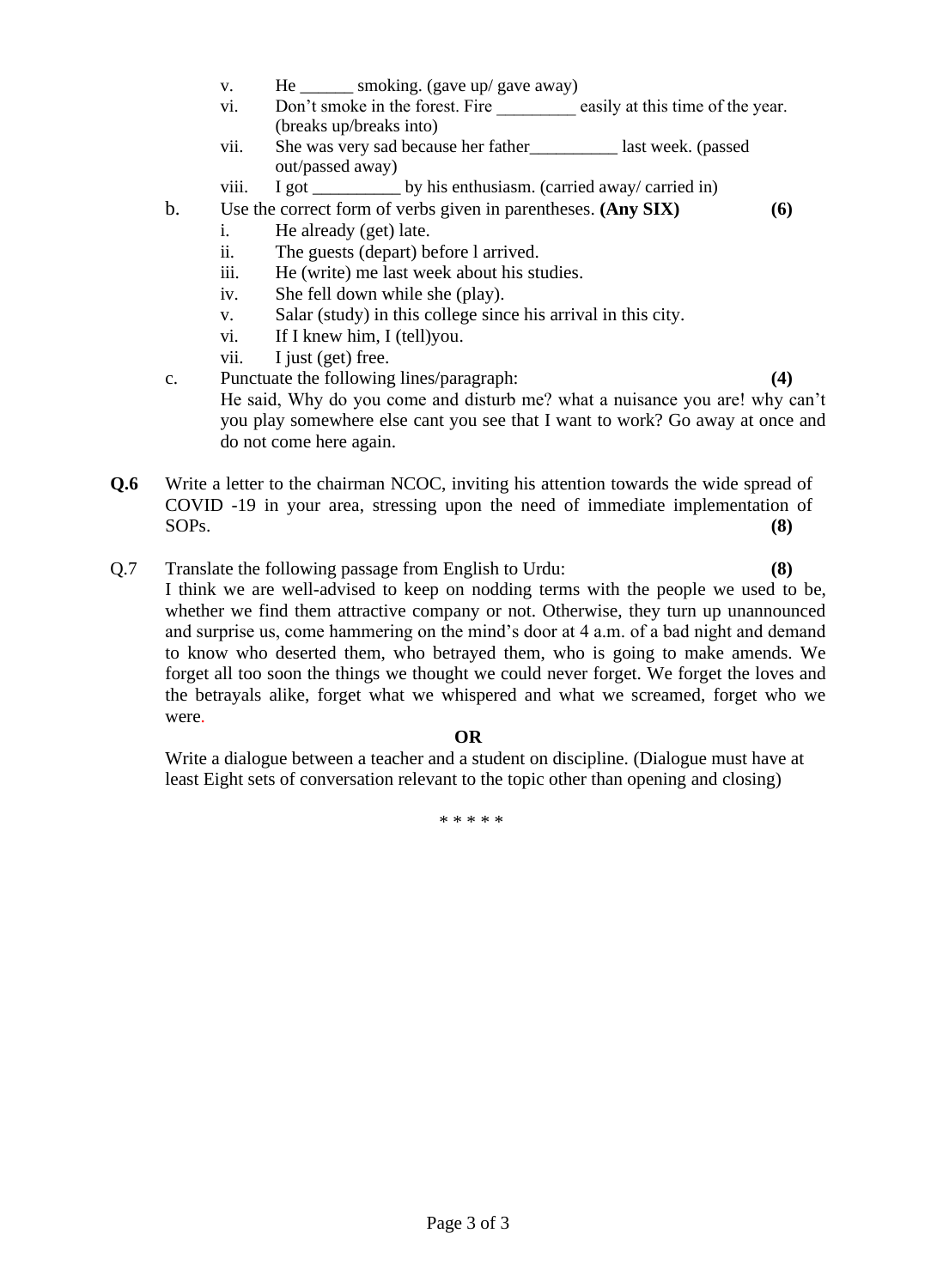- v. He \_\_\_\_\_\_\_ smoking. (gave up/ gave away)
- vi. Don't smoke in the forest. Fire easily at this time of the year. (breaks up/breaks into)
- vii. She was very sad because her father last week. (passed out/passed away)
- viii. I got \_\_\_\_\_\_\_\_\_\_ by his enthusiasm. (carried away/ carried in)
- b. Use the correct form of verbs given in parentheses. **(Any SIX) (6)** i. He already (get) late.
	- ii. The guests (depart) before l arrived.
	- iii. He (write) me last week about his studies.
	- iv. She fell down while she (play).
	- v. Salar (study) in this college since his arrival in this city.
	- vi. If I knew him, I (tell)you.
	- vii. I just (get) free.

c. Punctuate the following lines/paragraph: **(4)** He said, Why do you come and disturb me? what a nuisance you are! why can't you play somewhere else cant you see that I want to work? Go away at once and do not come here again.

- **Q.6** Write a letter to the chairman NCOC, inviting his attention towards the wide spread of COVID -19 in your area, stressing upon the need of immediate implementation of SOPs. **(8)**
- Q.7 Translate the following passage from English to Urdu: **(8)**
	- I think we are well-advised to keep on nodding terms with the people we used to be, whether we find them attractive company or not. Otherwise, they turn up unannounced and surprise us, come hammering on the mind's door at 4 a.m. of a bad night and demand to know who deserted them, who betrayed them, who is going to make amends. We forget all too soon the things we thought we could never forget. We forget the loves and the betrayals alike, forget what we whispered and what we screamed, forget who we were.

#### **OR**

Write a dialogue between a teacher and a student on discipline. (Dialogue must have at least Eight sets of conversation relevant to the topic other than opening and closing)

\* \* \* \* \*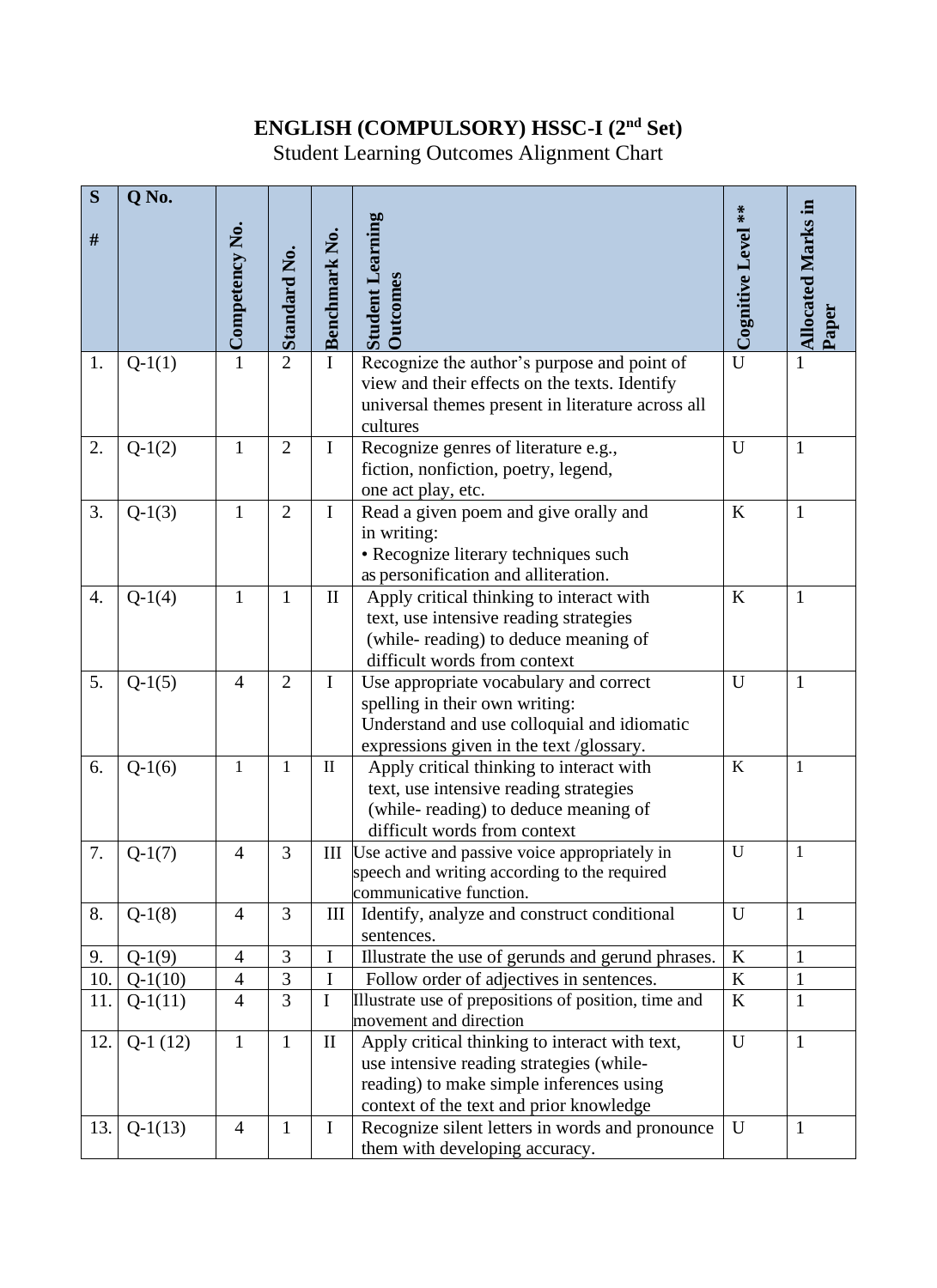# **ENGLISH (COMPULSORY) HSSC-I (2nd Set)**

Student Learning Outcomes Alignment Chart

| S                | Q No.     |                |                     |               |                                                                                               |                    |                           |
|------------------|-----------|----------------|---------------------|---------------|-----------------------------------------------------------------------------------------------|--------------------|---------------------------|
|                  |           |                |                     |               |                                                                                               | Cognitive Level ** | <b>Allocated Marks in</b> |
| $\#$             |           | Competency No. |                     | Benchmark No. | <b>Student Learning</b>                                                                       |                    |                           |
|                  |           |                | <b>Standard No.</b> |               |                                                                                               |                    |                           |
|                  |           |                |                     |               | <b>Dutcomes</b>                                                                               |                    |                           |
|                  |           |                |                     |               |                                                                                               |                    | Paper                     |
|                  |           |                | $\overline{2}$      |               |                                                                                               | $\overline{U}$     |                           |
| 1.               | $Q-1(1)$  | $\mathbf{1}$   |                     | $\mathbf I$   | Recognize the author's purpose and point of<br>view and their effects on the texts. Identify  |                    | 1                         |
|                  |           |                |                     |               | universal themes present in literature across all                                             |                    |                           |
|                  |           |                |                     |               | cultures                                                                                      |                    |                           |
| 2.               | $Q-1(2)$  | $\mathbf{1}$   | $\overline{2}$      | $\mathbf I$   | Recognize genres of literature e.g.,                                                          | U                  | $\mathbf{1}$              |
|                  |           |                |                     |               | fiction, nonfiction, poetry, legend,                                                          |                    |                           |
|                  |           |                |                     |               | one act play, etc.                                                                            |                    |                           |
| 3.               | $Q-1(3)$  | $\mathbf{1}$   | $\overline{2}$      | $\mathbf I$   | Read a given poem and give orally and                                                         | $\rm K$            | $\mathbf{1}$              |
|                  |           |                |                     |               | in writing:                                                                                   |                    |                           |
|                  |           |                |                     |               | · Recognize literary techniques such                                                          |                    |                           |
|                  |           |                |                     |               | as personification and alliteration.                                                          |                    |                           |
| $\overline{4}$ . | $Q-1(4)$  | $\mathbf{1}$   | $\mathbf{1}$        | $\mathbf{I}$  | Apply critical thinking to interact with                                                      | $\bf K$            | $\mathbf{1}$              |
|                  |           |                |                     |               | text, use intensive reading strategies                                                        |                    |                           |
|                  |           |                |                     |               | (while-reading) to deduce meaning of                                                          |                    |                           |
|                  |           |                |                     |               | difficult words from context                                                                  |                    |                           |
| 5.               | $Q-1(5)$  | $\overline{4}$ | $\overline{2}$      | Ι             | Use appropriate vocabulary and correct                                                        | U                  | 1                         |
|                  |           |                |                     |               | spelling in their own writing:                                                                |                    |                           |
|                  |           |                |                     |               | Understand and use colloquial and idiomatic                                                   |                    |                           |
|                  |           |                |                     |               | expressions given in the text /glossary.                                                      |                    |                           |
| 6.               | $Q-1(6)$  | 1              | 1                   | $\mathbf{I}$  | Apply critical thinking to interact with                                                      | $\bf K$            | 1                         |
|                  |           |                |                     |               | text, use intensive reading strategies                                                        |                    |                           |
|                  |           |                |                     |               | (while-reading) to deduce meaning of                                                          |                    |                           |
|                  |           |                |                     |               | difficult words from context                                                                  | $\mathbf U$        | $\mathbf{1}$              |
| 7.               | $Q-1(7)$  | $\overline{4}$ | 3                   | III           | Use active and passive voice appropriately in<br>speech and writing according to the required |                    |                           |
|                  |           |                |                     |               | communicative function.                                                                       |                    |                           |
| 8.               | $Q-1(8)$  | $\overline{4}$ | 3                   | III           | Identify, analyze and construct conditional                                                   | U                  | $\mathbf{1}$              |
|                  |           |                |                     |               | sentences.                                                                                    |                    |                           |
| 9.               | $Q-1(9)$  | $\overline{4}$ | 3                   | I             | Illustrate the use of gerunds and gerund phrases.                                             | $\bf K$            | $\mathbf{1}$              |
| 10.              | $Q-1(10)$ | $\overline{4}$ | 3                   | $\mathbf I$   | Follow order of adjectives in sentences.                                                      | $\rm K$            | $\mathbf{1}$              |
| 11.              | $Q-1(11)$ | $\overline{4}$ | $\overline{3}$      | $\mathbf I$   | Illustrate use of prepositions of position, time and                                          | $\boldsymbol{K}$   | $\mathbf{1}$              |
|                  |           |                |                     |               | movement and direction                                                                        |                    |                           |
| 12.              | $Q-1(12)$ | $\mathbf{1}$   | $\mathbf{1}$        | $\mathbf{I}$  | Apply critical thinking to interact with text,                                                | U                  | $\mathbf{1}$              |
|                  |           |                |                     |               | use intensive reading strategies (while-                                                      |                    |                           |
|                  |           |                |                     |               | reading) to make simple inferences using                                                      |                    |                           |
|                  |           |                |                     |               | context of the text and prior knowledge                                                       |                    |                           |
| 13.              | $Q-1(13)$ | $\overline{4}$ | $\mathbf{1}$        | $\mathbf I$   | Recognize silent letters in words and pronounce                                               | U                  | $\mathbf{1}$              |
|                  |           |                |                     |               | them with developing accuracy.                                                                |                    |                           |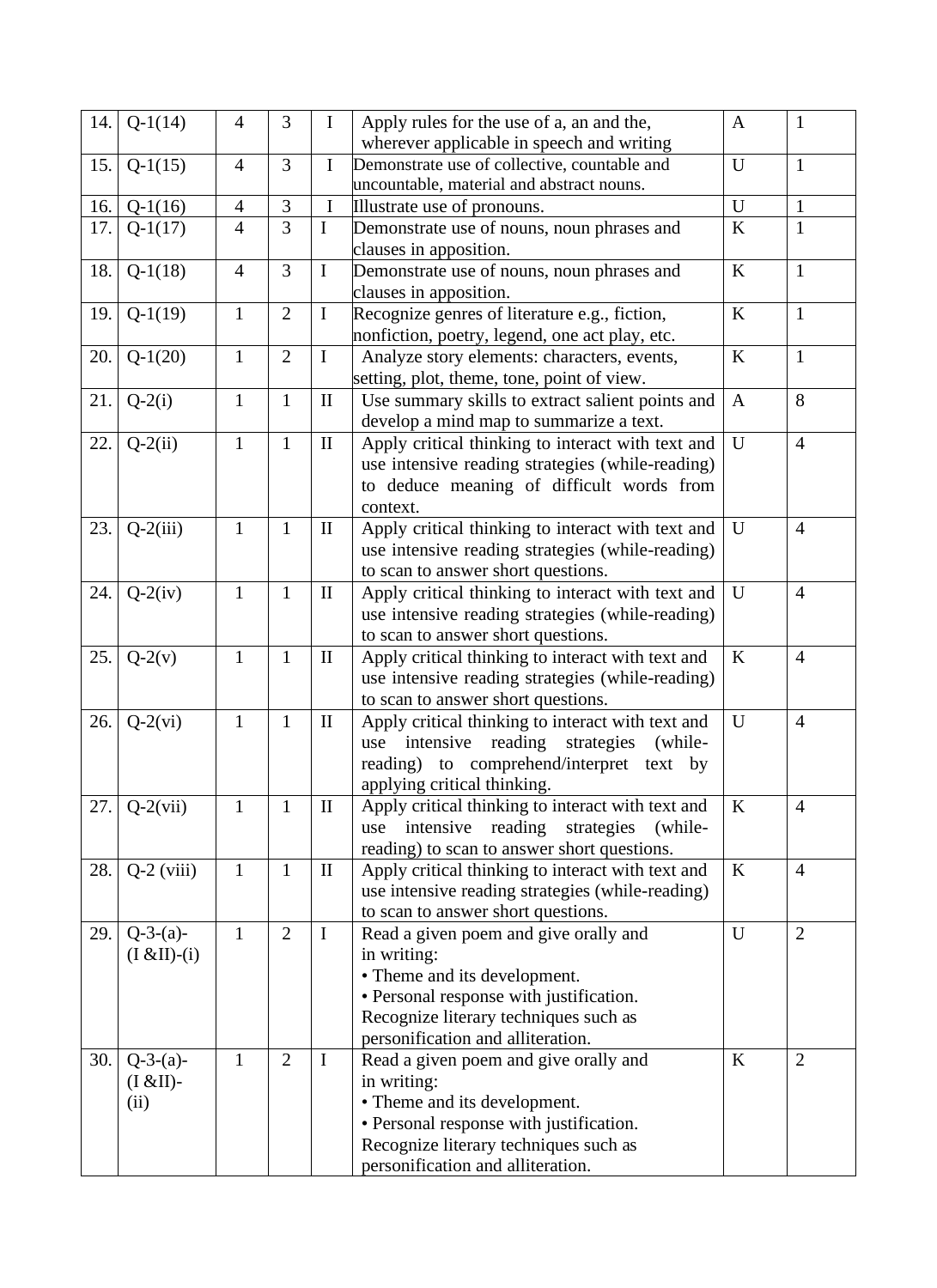| 14. | $Q-1(14)$             | $\overline{4}$ | 3              | $\mathbf I$  | Apply rules for the use of a, an and the,                                                 | A            | $\mathbf{1}$   |
|-----|-----------------------|----------------|----------------|--------------|-------------------------------------------------------------------------------------------|--------------|----------------|
|     |                       |                | $\overline{3}$ | $\mathbf I$  | wherever applicable in speech and writing                                                 | U            | $\mathbf{1}$   |
| 15. | $Q-1(15)$             | $\overline{4}$ |                |              | Demonstrate use of collective, countable and<br>uncountable, material and abstract nouns. |              |                |
| 16. | $Q-1(16)$             | $\overline{4}$ | $\overline{3}$ | $\bf I$      | Illustrate use of pronouns.                                                               | $\mathbf{U}$ | $\mathbf{1}$   |
| 17. | $Q-1(17)$             | $\overline{4}$ | 3              | $\mathbf I$  | Demonstrate use of nouns, noun phrases and                                                | $\bf K$      | $\mathbf{1}$   |
|     |                       |                |                |              | clauses in apposition.                                                                    |              |                |
| 18. | $Q-1(18)$             | $\overline{4}$ | 3              | $\mathbf I$  | Demonstrate use of nouns, noun phrases and                                                | K            | $\mathbf{1}$   |
|     |                       |                |                |              | clauses in apposition.                                                                    |              |                |
| 19. | $Q-1(19)$             | $\mathbf{1}$   | $\overline{2}$ | $\mathbf I$  | Recognize genres of literature e.g., fiction,                                             | K            | $\mathbf{1}$   |
|     |                       |                |                |              | nonfiction, poetry, legend, one act play, etc.                                            |              |                |
| 20. | $Q-1(20)$             | $\mathbf{1}$   | $\overline{2}$ | $\mathbf I$  | Analyze story elements: characters, events,                                               | K            | $\mathbf{1}$   |
|     |                       |                |                |              | setting, plot, theme, tone, point of view.                                                |              |                |
| 21. | $Q-2(i)$              | $\mathbf{1}$   | $\mathbf{1}$   | $\mathbf{I}$ | Use summary skills to extract salient points and                                          | $\mathbf{A}$ | 8              |
|     |                       |                |                |              | develop a mind map to summarize a text.                                                   |              |                |
| 22. | $Q-2(ii)$             | $\mathbf{1}$   | $\mathbf{1}$   | $\rm II$     | Apply critical thinking to interact with text and                                         | U            | $\overline{4}$ |
|     |                       |                |                |              | use intensive reading strategies (while-reading)                                          |              |                |
|     |                       |                |                |              | to deduce meaning of difficult words from                                                 |              |                |
|     |                       |                |                |              | context.                                                                                  |              |                |
| 23. | $Q-2(iii)$            | $\mathbf{1}$   | $\mathbf{1}$   | $\mathbf{I}$ | Apply critical thinking to interact with text and                                         | U            | $\overline{4}$ |
|     |                       |                |                |              | use intensive reading strategies (while-reading)                                          |              |                |
|     |                       |                |                |              | to scan to answer short questions.                                                        |              |                |
| 24. | $Q-2(iv)$             | $\mathbf{1}$   | $\mathbf{1}$   | $\mathbf{I}$ | Apply critical thinking to interact with text and                                         | $\mathbf{U}$ | $\overline{4}$ |
|     |                       |                |                |              | use intensive reading strategies (while-reading)                                          |              |                |
|     |                       |                |                |              | to scan to answer short questions.                                                        |              |                |
| 25. | $Q-2(v)$              | $\mathbf{1}$   | $\mathbf{1}$   | $\mathbf{I}$ | Apply critical thinking to interact with text and                                         | K            | $\overline{4}$ |
|     |                       |                |                |              | use intensive reading strategies (while-reading)                                          |              |                |
|     |                       |                |                |              | to scan to answer short questions.                                                        |              |                |
| 26. | $Q-2(vi)$             | $\mathbf{1}$   | $\mathbf{1}$   | $\mathbf{I}$ | Apply critical thinking to interact with text and<br>intensive reading strategies<br>use  | U            | $\overline{4}$ |
|     |                       |                |                |              | (while-<br>reading)<br>to comprehend/interpret text by                                    |              |                |
|     |                       |                |                |              | applying critical thinking.                                                               |              |                |
| 27. | $Q-2(vii)$            | 1              | 1              | $\mathbf{I}$ | Apply critical thinking to interact with text and                                         | K            | $\overline{4}$ |
|     |                       |                |                |              | reading<br>strategies<br>intensive<br>(while-<br>use                                      |              |                |
|     |                       |                |                |              | reading) to scan to answer short questions.                                               |              |                |
| 28. | $Q-2$ (viii)          | $\mathbf{1}$   | $\mathbf{1}$   | $\mathbf{I}$ | Apply critical thinking to interact with text and                                         | K            | $\overline{4}$ |
|     |                       |                |                |              | use intensive reading strategies (while-reading)                                          |              |                |
|     |                       |                |                |              | to scan to answer short questions.                                                        |              |                |
| 29. | $Q-3-(a)-$            | $\mathbf{1}$   | $\overline{2}$ | $\bf I$      | Read a given poem and give orally and                                                     | U            | $\overline{2}$ |
|     | $(I & \& II)$ - $(i)$ |                |                |              | in writing:                                                                               |              |                |
|     |                       |                |                |              | • Theme and its development.                                                              |              |                |
|     |                       |                |                |              | • Personal response with justification.                                                   |              |                |
|     |                       |                |                |              | Recognize literary techniques such as                                                     |              |                |
|     |                       |                |                |              | personification and alliteration.                                                         |              |                |
| 30. | $Q-3-(a)-$            | $\mathbf{1}$   | $\overline{2}$ | $\mathbf I$  | Read a given poem and give orally and                                                     | K            | $\overline{2}$ |
|     | (I & I)               |                |                |              | in writing:                                                                               |              |                |
|     | (ii)                  |                |                |              | • Theme and its development.                                                              |              |                |
|     |                       |                |                |              | • Personal response with justification.                                                   |              |                |
|     |                       |                |                |              | Recognize literary techniques such as                                                     |              |                |
|     |                       |                |                |              | personification and alliteration.                                                         |              |                |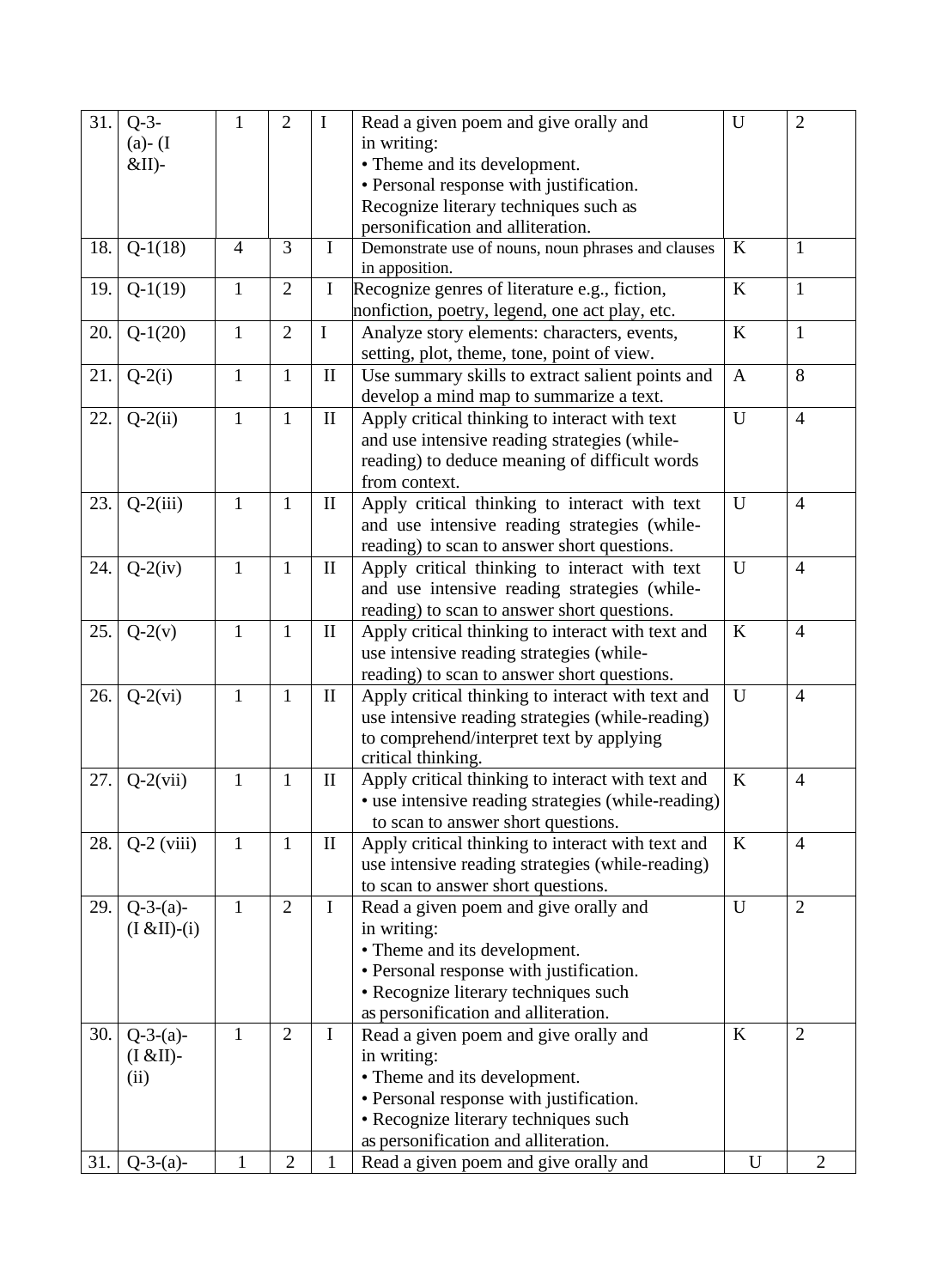| 31. | $Q-3-$                | $\mathbf{1}$   | $\overline{2}$ | $\bf{I}$     | Read a given poem and give orally and              | U            | $\overline{2}$ |
|-----|-----------------------|----------------|----------------|--------------|----------------------------------------------------|--------------|----------------|
|     | $(a)$ - (I            |                |                |              | in writing:                                        |              |                |
|     | $&$ II)-              |                |                |              | • Theme and its development.                       |              |                |
|     |                       |                |                |              | • Personal response with justification.            |              |                |
|     |                       |                |                |              | Recognize literary techniques such as              |              |                |
|     |                       |                |                |              | personification and alliteration.                  |              |                |
| 18. | $Q-1(18)$             | $\overline{4}$ | 3              | Ι            | Demonstrate use of nouns, noun phrases and clauses | K            | $\mathbf{1}$   |
|     |                       |                |                |              | in apposition.                                     |              |                |
| 19. | $Q-1(19)$             | $\mathbf{1}$   | $\overline{2}$ | $\bf I$      | Recognize genres of literature e.g., fiction,      | $\bf K$      | $\mathbf{1}$   |
|     |                       |                |                |              | nonfiction, poetry, legend, one act play, etc.     |              |                |
| 20. | $Q-1(20)$             | $\mathbf{1}$   | $\overline{2}$ | $\mathbf I$  | Analyze story elements: characters, events,        | $\rm K$      | $\mathbf{1}$   |
|     |                       |                |                |              | setting, plot, theme, tone, point of view.         |              |                |
| 21. | $Q-2(i)$              | $\mathbf{1}$   | $\mathbf{1}$   | $\mathbf{I}$ | Use summary skills to extract salient points and   | $\mathbf{A}$ | 8              |
|     |                       |                |                |              | develop a mind map to summarize a text.            |              |                |
| 22. | $Q-2(ii)$             | $\mathbf{1}$   | $\mathbf{1}$   | $\mathbf{I}$ | Apply critical thinking to interact with text      | $\mathbf U$  | $\overline{4}$ |
|     |                       |                |                |              | and use intensive reading strategies (while-       |              |                |
|     |                       |                |                |              | reading) to deduce meaning of difficult words      |              |                |
|     |                       |                |                |              | from context.                                      |              |                |
| 23. | $Q-2(iii)$            | $\mathbf{1}$   | $\mathbf{1}$   | $\mathbf{I}$ | Apply critical thinking to interact with text      | U            | $\overline{4}$ |
|     |                       |                |                |              | and use intensive reading strategies (while-       |              |                |
|     |                       |                |                |              | reading) to scan to answer short questions.        |              |                |
| 24. | $Q-2(iv)$             | $\mathbf{1}$   | $\mathbf{1}$   | $\mathbf{I}$ | Apply critical thinking to interact with text      | U            | $\overline{4}$ |
|     |                       |                |                |              | and use intensive reading strategies (while-       |              |                |
|     |                       |                |                |              | reading) to scan to answer short questions.        |              |                |
| 25. | $Q-2(v)$              | $\mathbf{1}$   | $\mathbf{1}$   | $\mathbf{I}$ | Apply critical thinking to interact with text and  | $\rm K$      | $\overline{4}$ |
|     |                       |                |                |              | use intensive reading strategies (while-           |              |                |
|     |                       |                |                |              | reading) to scan to answer short questions.        |              |                |
| 26. | $Q-2(vi)$             | $\mathbf{1}$   | $\mathbf{1}$   | $\mathbf{I}$ | Apply critical thinking to interact with text and  | U            | $\overline{4}$ |
|     |                       |                |                |              | use intensive reading strategies (while-reading)   |              |                |
|     |                       |                |                |              | to comprehend/interpret text by applying           |              |                |
|     |                       |                |                |              | critical thinking.                                 |              |                |
| 27. | $Q-2(vii)$            | $\mathbf{1}$   | $\mathbf{1}$   | $\mathbf{I}$ | Apply critical thinking to interact with text and  | $\bf K$      | $\overline{4}$ |
|     |                       |                |                |              | • use intensive reading strategies (while-reading) |              |                |
|     |                       |                |                |              | to scan to answer short questions.                 |              |                |
| 28. | $Q-2$ (viii)          | $\mathbf{1}$   | $\mathbf{1}$   | $\mathbf{I}$ | Apply critical thinking to interact with text and  | $\bf K$      | $\overline{4}$ |
|     |                       |                |                |              | use intensive reading strategies (while-reading)   |              |                |
|     |                       |                |                |              | to scan to answer short questions.                 |              |                |
| 29. | $Q-3-(a)-$            | 1              | $\overline{2}$ | I            | Read a given poem and give orally and              | $\mathbf U$  | $\mathbf{2}$   |
|     | $(I & \& II)$ - $(i)$ |                |                |              | in writing:                                        |              |                |
|     |                       |                |                |              | • Theme and its development.                       |              |                |
|     |                       |                |                |              | • Personal response with justification.            |              |                |
|     |                       |                |                |              | • Recognize literary techniques such               |              |                |
|     |                       |                |                |              | as personification and alliteration.               |              |                |
| 30. | $Q-3-(a)-$            | $\mathbf{1}$   | $\overline{2}$ | $\mathbf I$  | Read a given poem and give orally and              | K            | $\overline{2}$ |
|     | $(I & H)$ -           |                |                |              | in writing:                                        |              |                |
|     | (ii)                  |                |                |              | • Theme and its development.                       |              |                |
|     |                       |                |                |              | • Personal response with justification.            |              |                |
|     |                       |                |                |              | • Recognize literary techniques such               |              |                |
|     |                       |                |                |              | as personification and alliteration.               |              |                |
| 31. | $Q-3-(a)-$            |                | $\overline{2}$ | 1            | Read a given poem and give orally and              | U            | $\overline{2}$ |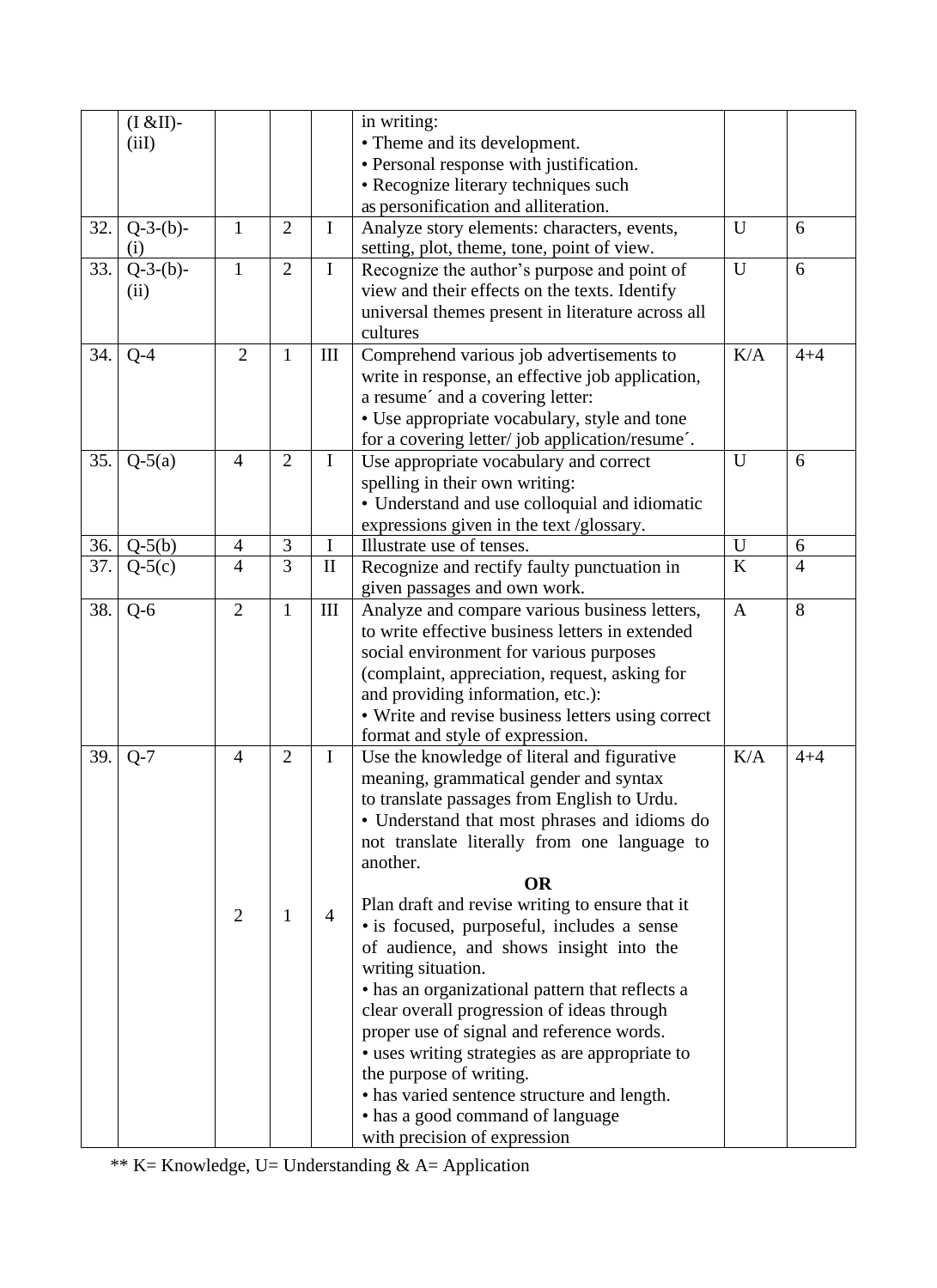| • Theme and its development.<br>(iil)<br>• Personal response with justification.<br>• Recognize literary techniques such<br>as personification and alliteration.<br>$Q-3-(b)-$<br>$\mathbf{1}$<br>$\overline{2}$<br>$\mathbf I$<br>U<br>32.<br>Analyze story elements: characters, events,<br>6<br>setting, plot, theme, tone, point of view.<br>(i)<br>$Q-3-(b)-$<br>33.<br>$\mathbf{1}$<br>$\overline{2}$<br>$\mathbf I$<br>U<br>6<br>Recognize the author's purpose and point of<br>view and their effects on the texts. Identify<br>(ii)<br>universal themes present in literature across all<br>cultures<br>$\overline{2}$<br>K/A<br>$\mathbf{1}$<br>34.<br>III<br>$Q-4$<br>Comprehend various job advertisements to<br>write in response, an effective job application,<br>a resume' and a covering letter:<br>• Use appropriate vocabulary, style and tone<br>for a covering letter/job application/resume'.<br>35.<br>$\overline{4}$<br>$\overline{2}$<br>$Q-5(a)$<br>$\mathbf I$<br>Use appropriate vocabulary and correct<br>U<br>6<br>spelling in their own writing:<br>• Understand and use colloquial and idiomatic<br>expressions given in the text /glossary.<br>$\overline{3}$<br>$\overline{U}$<br>$Q-5(b)$<br>$\mathbf I$<br>36.<br>6<br>$\overline{4}$<br>Illustrate use of tenses.<br>$\overline{3}$<br>$\bf K$<br>$\overline{4}$<br>37.<br>$\mathbf{I}$<br>Recognize and rectify faulty punctuation in<br>$\overline{4}$<br>$Q-5(c)$<br>given passages and own work.<br>$\overline{2}$<br>8<br>38.<br>$\mathbf{1}$<br>III<br>Analyze and compare various business letters,<br>$Q-6$<br>$\mathbf{A}$<br>to write effective business letters in extended<br>social environment for various purposes<br>(complaint, appreciation, request, asking for<br>and providing information, etc.):<br>• Write and revise business letters using correct<br>format and style of expression.<br>$\overline{2}$<br>I<br>K/A<br>39.<br>Use the knowledge of literal and figurative<br>$Q-7$<br>$\overline{4}$<br>$4 + 4$<br>meaning, grammatical gender and syntax<br>to translate passages from English to Urdu.<br>• Understand that most phrases and idioms do<br>not translate literally from one language to<br>another.<br><b>OR</b><br>Plan draft and revise writing to ensure that it<br>$\overline{4}$<br>$\overline{2}$<br>$\mathbf{1}$<br>• is focused, purposeful, includes a sense<br>of audience, and shows insight into the<br>writing situation.<br>• has an organizational pattern that reflects a<br>clear overall progression of ideas through<br>proper use of signal and reference words.<br>• uses writing strategies as are appropriate to<br>the purpose of writing.<br>• has varied sentence structure and length.<br>• has a good command of language | $(I & EII)$ - |  | in writing: |         |
|---------------------------------------------------------------------------------------------------------------------------------------------------------------------------------------------------------------------------------------------------------------------------------------------------------------------------------------------------------------------------------------------------------------------------------------------------------------------------------------------------------------------------------------------------------------------------------------------------------------------------------------------------------------------------------------------------------------------------------------------------------------------------------------------------------------------------------------------------------------------------------------------------------------------------------------------------------------------------------------------------------------------------------------------------------------------------------------------------------------------------------------------------------------------------------------------------------------------------------------------------------------------------------------------------------------------------------------------------------------------------------------------------------------------------------------------------------------------------------------------------------------------------------------------------------------------------------------------------------------------------------------------------------------------------------------------------------------------------------------------------------------------------------------------------------------------------------------------------------------------------------------------------------------------------------------------------------------------------------------------------------------------------------------------------------------------------------------------------------------------------------------------------------------------------------------------------------------------------------------------------------------------------------------------------------------------------------------------------------------------------------------------------------------------------------------------------------------------------------------------------------------------------------------------------------------------------------------------------------------------------------------------------------------------------------------------------------------------------------------------------------------------------------------|---------------|--|-------------|---------|
|                                                                                                                                                                                                                                                                                                                                                                                                                                                                                                                                                                                                                                                                                                                                                                                                                                                                                                                                                                                                                                                                                                                                                                                                                                                                                                                                                                                                                                                                                                                                                                                                                                                                                                                                                                                                                                                                                                                                                                                                                                                                                                                                                                                                                                                                                                                                                                                                                                                                                                                                                                                                                                                                                                                                                                                       |               |  |             |         |
|                                                                                                                                                                                                                                                                                                                                                                                                                                                                                                                                                                                                                                                                                                                                                                                                                                                                                                                                                                                                                                                                                                                                                                                                                                                                                                                                                                                                                                                                                                                                                                                                                                                                                                                                                                                                                                                                                                                                                                                                                                                                                                                                                                                                                                                                                                                                                                                                                                                                                                                                                                                                                                                                                                                                                                                       |               |  |             |         |
|                                                                                                                                                                                                                                                                                                                                                                                                                                                                                                                                                                                                                                                                                                                                                                                                                                                                                                                                                                                                                                                                                                                                                                                                                                                                                                                                                                                                                                                                                                                                                                                                                                                                                                                                                                                                                                                                                                                                                                                                                                                                                                                                                                                                                                                                                                                                                                                                                                                                                                                                                                                                                                                                                                                                                                                       |               |  |             |         |
|                                                                                                                                                                                                                                                                                                                                                                                                                                                                                                                                                                                                                                                                                                                                                                                                                                                                                                                                                                                                                                                                                                                                                                                                                                                                                                                                                                                                                                                                                                                                                                                                                                                                                                                                                                                                                                                                                                                                                                                                                                                                                                                                                                                                                                                                                                                                                                                                                                                                                                                                                                                                                                                                                                                                                                                       |               |  |             |         |
|                                                                                                                                                                                                                                                                                                                                                                                                                                                                                                                                                                                                                                                                                                                                                                                                                                                                                                                                                                                                                                                                                                                                                                                                                                                                                                                                                                                                                                                                                                                                                                                                                                                                                                                                                                                                                                                                                                                                                                                                                                                                                                                                                                                                                                                                                                                                                                                                                                                                                                                                                                                                                                                                                                                                                                                       |               |  |             |         |
|                                                                                                                                                                                                                                                                                                                                                                                                                                                                                                                                                                                                                                                                                                                                                                                                                                                                                                                                                                                                                                                                                                                                                                                                                                                                                                                                                                                                                                                                                                                                                                                                                                                                                                                                                                                                                                                                                                                                                                                                                                                                                                                                                                                                                                                                                                                                                                                                                                                                                                                                                                                                                                                                                                                                                                                       |               |  |             |         |
|                                                                                                                                                                                                                                                                                                                                                                                                                                                                                                                                                                                                                                                                                                                                                                                                                                                                                                                                                                                                                                                                                                                                                                                                                                                                                                                                                                                                                                                                                                                                                                                                                                                                                                                                                                                                                                                                                                                                                                                                                                                                                                                                                                                                                                                                                                                                                                                                                                                                                                                                                                                                                                                                                                                                                                                       |               |  |             |         |
|                                                                                                                                                                                                                                                                                                                                                                                                                                                                                                                                                                                                                                                                                                                                                                                                                                                                                                                                                                                                                                                                                                                                                                                                                                                                                                                                                                                                                                                                                                                                                                                                                                                                                                                                                                                                                                                                                                                                                                                                                                                                                                                                                                                                                                                                                                                                                                                                                                                                                                                                                                                                                                                                                                                                                                                       |               |  |             |         |
|                                                                                                                                                                                                                                                                                                                                                                                                                                                                                                                                                                                                                                                                                                                                                                                                                                                                                                                                                                                                                                                                                                                                                                                                                                                                                                                                                                                                                                                                                                                                                                                                                                                                                                                                                                                                                                                                                                                                                                                                                                                                                                                                                                                                                                                                                                                                                                                                                                                                                                                                                                                                                                                                                                                                                                                       |               |  |             |         |
|                                                                                                                                                                                                                                                                                                                                                                                                                                                                                                                                                                                                                                                                                                                                                                                                                                                                                                                                                                                                                                                                                                                                                                                                                                                                                                                                                                                                                                                                                                                                                                                                                                                                                                                                                                                                                                                                                                                                                                                                                                                                                                                                                                                                                                                                                                                                                                                                                                                                                                                                                                                                                                                                                                                                                                                       |               |  |             |         |
|                                                                                                                                                                                                                                                                                                                                                                                                                                                                                                                                                                                                                                                                                                                                                                                                                                                                                                                                                                                                                                                                                                                                                                                                                                                                                                                                                                                                                                                                                                                                                                                                                                                                                                                                                                                                                                                                                                                                                                                                                                                                                                                                                                                                                                                                                                                                                                                                                                                                                                                                                                                                                                                                                                                                                                                       |               |  |             | $4 + 4$ |
|                                                                                                                                                                                                                                                                                                                                                                                                                                                                                                                                                                                                                                                                                                                                                                                                                                                                                                                                                                                                                                                                                                                                                                                                                                                                                                                                                                                                                                                                                                                                                                                                                                                                                                                                                                                                                                                                                                                                                                                                                                                                                                                                                                                                                                                                                                                                                                                                                                                                                                                                                                                                                                                                                                                                                                                       |               |  |             |         |
|                                                                                                                                                                                                                                                                                                                                                                                                                                                                                                                                                                                                                                                                                                                                                                                                                                                                                                                                                                                                                                                                                                                                                                                                                                                                                                                                                                                                                                                                                                                                                                                                                                                                                                                                                                                                                                                                                                                                                                                                                                                                                                                                                                                                                                                                                                                                                                                                                                                                                                                                                                                                                                                                                                                                                                                       |               |  |             |         |
|                                                                                                                                                                                                                                                                                                                                                                                                                                                                                                                                                                                                                                                                                                                                                                                                                                                                                                                                                                                                                                                                                                                                                                                                                                                                                                                                                                                                                                                                                                                                                                                                                                                                                                                                                                                                                                                                                                                                                                                                                                                                                                                                                                                                                                                                                                                                                                                                                                                                                                                                                                                                                                                                                                                                                                                       |               |  |             |         |
|                                                                                                                                                                                                                                                                                                                                                                                                                                                                                                                                                                                                                                                                                                                                                                                                                                                                                                                                                                                                                                                                                                                                                                                                                                                                                                                                                                                                                                                                                                                                                                                                                                                                                                                                                                                                                                                                                                                                                                                                                                                                                                                                                                                                                                                                                                                                                                                                                                                                                                                                                                                                                                                                                                                                                                                       |               |  |             |         |
|                                                                                                                                                                                                                                                                                                                                                                                                                                                                                                                                                                                                                                                                                                                                                                                                                                                                                                                                                                                                                                                                                                                                                                                                                                                                                                                                                                                                                                                                                                                                                                                                                                                                                                                                                                                                                                                                                                                                                                                                                                                                                                                                                                                                                                                                                                                                                                                                                                                                                                                                                                                                                                                                                                                                                                                       |               |  |             |         |
|                                                                                                                                                                                                                                                                                                                                                                                                                                                                                                                                                                                                                                                                                                                                                                                                                                                                                                                                                                                                                                                                                                                                                                                                                                                                                                                                                                                                                                                                                                                                                                                                                                                                                                                                                                                                                                                                                                                                                                                                                                                                                                                                                                                                                                                                                                                                                                                                                                                                                                                                                                                                                                                                                                                                                                                       |               |  |             |         |
|                                                                                                                                                                                                                                                                                                                                                                                                                                                                                                                                                                                                                                                                                                                                                                                                                                                                                                                                                                                                                                                                                                                                                                                                                                                                                                                                                                                                                                                                                                                                                                                                                                                                                                                                                                                                                                                                                                                                                                                                                                                                                                                                                                                                                                                                                                                                                                                                                                                                                                                                                                                                                                                                                                                                                                                       |               |  |             |         |
|                                                                                                                                                                                                                                                                                                                                                                                                                                                                                                                                                                                                                                                                                                                                                                                                                                                                                                                                                                                                                                                                                                                                                                                                                                                                                                                                                                                                                                                                                                                                                                                                                                                                                                                                                                                                                                                                                                                                                                                                                                                                                                                                                                                                                                                                                                                                                                                                                                                                                                                                                                                                                                                                                                                                                                                       |               |  |             |         |
|                                                                                                                                                                                                                                                                                                                                                                                                                                                                                                                                                                                                                                                                                                                                                                                                                                                                                                                                                                                                                                                                                                                                                                                                                                                                                                                                                                                                                                                                                                                                                                                                                                                                                                                                                                                                                                                                                                                                                                                                                                                                                                                                                                                                                                                                                                                                                                                                                                                                                                                                                                                                                                                                                                                                                                                       |               |  |             |         |
|                                                                                                                                                                                                                                                                                                                                                                                                                                                                                                                                                                                                                                                                                                                                                                                                                                                                                                                                                                                                                                                                                                                                                                                                                                                                                                                                                                                                                                                                                                                                                                                                                                                                                                                                                                                                                                                                                                                                                                                                                                                                                                                                                                                                                                                                                                                                                                                                                                                                                                                                                                                                                                                                                                                                                                                       |               |  |             |         |
|                                                                                                                                                                                                                                                                                                                                                                                                                                                                                                                                                                                                                                                                                                                                                                                                                                                                                                                                                                                                                                                                                                                                                                                                                                                                                                                                                                                                                                                                                                                                                                                                                                                                                                                                                                                                                                                                                                                                                                                                                                                                                                                                                                                                                                                                                                                                                                                                                                                                                                                                                                                                                                                                                                                                                                                       |               |  |             |         |
|                                                                                                                                                                                                                                                                                                                                                                                                                                                                                                                                                                                                                                                                                                                                                                                                                                                                                                                                                                                                                                                                                                                                                                                                                                                                                                                                                                                                                                                                                                                                                                                                                                                                                                                                                                                                                                                                                                                                                                                                                                                                                                                                                                                                                                                                                                                                                                                                                                                                                                                                                                                                                                                                                                                                                                                       |               |  |             |         |
|                                                                                                                                                                                                                                                                                                                                                                                                                                                                                                                                                                                                                                                                                                                                                                                                                                                                                                                                                                                                                                                                                                                                                                                                                                                                                                                                                                                                                                                                                                                                                                                                                                                                                                                                                                                                                                                                                                                                                                                                                                                                                                                                                                                                                                                                                                                                                                                                                                                                                                                                                                                                                                                                                                                                                                                       |               |  |             |         |
|                                                                                                                                                                                                                                                                                                                                                                                                                                                                                                                                                                                                                                                                                                                                                                                                                                                                                                                                                                                                                                                                                                                                                                                                                                                                                                                                                                                                                                                                                                                                                                                                                                                                                                                                                                                                                                                                                                                                                                                                                                                                                                                                                                                                                                                                                                                                                                                                                                                                                                                                                                                                                                                                                                                                                                                       |               |  |             |         |
|                                                                                                                                                                                                                                                                                                                                                                                                                                                                                                                                                                                                                                                                                                                                                                                                                                                                                                                                                                                                                                                                                                                                                                                                                                                                                                                                                                                                                                                                                                                                                                                                                                                                                                                                                                                                                                                                                                                                                                                                                                                                                                                                                                                                                                                                                                                                                                                                                                                                                                                                                                                                                                                                                                                                                                                       |               |  |             |         |
|                                                                                                                                                                                                                                                                                                                                                                                                                                                                                                                                                                                                                                                                                                                                                                                                                                                                                                                                                                                                                                                                                                                                                                                                                                                                                                                                                                                                                                                                                                                                                                                                                                                                                                                                                                                                                                                                                                                                                                                                                                                                                                                                                                                                                                                                                                                                                                                                                                                                                                                                                                                                                                                                                                                                                                                       |               |  |             |         |
|                                                                                                                                                                                                                                                                                                                                                                                                                                                                                                                                                                                                                                                                                                                                                                                                                                                                                                                                                                                                                                                                                                                                                                                                                                                                                                                                                                                                                                                                                                                                                                                                                                                                                                                                                                                                                                                                                                                                                                                                                                                                                                                                                                                                                                                                                                                                                                                                                                                                                                                                                                                                                                                                                                                                                                                       |               |  |             |         |
|                                                                                                                                                                                                                                                                                                                                                                                                                                                                                                                                                                                                                                                                                                                                                                                                                                                                                                                                                                                                                                                                                                                                                                                                                                                                                                                                                                                                                                                                                                                                                                                                                                                                                                                                                                                                                                                                                                                                                                                                                                                                                                                                                                                                                                                                                                                                                                                                                                                                                                                                                                                                                                                                                                                                                                                       |               |  |             |         |
|                                                                                                                                                                                                                                                                                                                                                                                                                                                                                                                                                                                                                                                                                                                                                                                                                                                                                                                                                                                                                                                                                                                                                                                                                                                                                                                                                                                                                                                                                                                                                                                                                                                                                                                                                                                                                                                                                                                                                                                                                                                                                                                                                                                                                                                                                                                                                                                                                                                                                                                                                                                                                                                                                                                                                                                       |               |  |             |         |
|                                                                                                                                                                                                                                                                                                                                                                                                                                                                                                                                                                                                                                                                                                                                                                                                                                                                                                                                                                                                                                                                                                                                                                                                                                                                                                                                                                                                                                                                                                                                                                                                                                                                                                                                                                                                                                                                                                                                                                                                                                                                                                                                                                                                                                                                                                                                                                                                                                                                                                                                                                                                                                                                                                                                                                                       |               |  |             |         |
|                                                                                                                                                                                                                                                                                                                                                                                                                                                                                                                                                                                                                                                                                                                                                                                                                                                                                                                                                                                                                                                                                                                                                                                                                                                                                                                                                                                                                                                                                                                                                                                                                                                                                                                                                                                                                                                                                                                                                                                                                                                                                                                                                                                                                                                                                                                                                                                                                                                                                                                                                                                                                                                                                                                                                                                       |               |  |             |         |
|                                                                                                                                                                                                                                                                                                                                                                                                                                                                                                                                                                                                                                                                                                                                                                                                                                                                                                                                                                                                                                                                                                                                                                                                                                                                                                                                                                                                                                                                                                                                                                                                                                                                                                                                                                                                                                                                                                                                                                                                                                                                                                                                                                                                                                                                                                                                                                                                                                                                                                                                                                                                                                                                                                                                                                                       |               |  |             |         |
|                                                                                                                                                                                                                                                                                                                                                                                                                                                                                                                                                                                                                                                                                                                                                                                                                                                                                                                                                                                                                                                                                                                                                                                                                                                                                                                                                                                                                                                                                                                                                                                                                                                                                                                                                                                                                                                                                                                                                                                                                                                                                                                                                                                                                                                                                                                                                                                                                                                                                                                                                                                                                                                                                                                                                                                       |               |  |             |         |
|                                                                                                                                                                                                                                                                                                                                                                                                                                                                                                                                                                                                                                                                                                                                                                                                                                                                                                                                                                                                                                                                                                                                                                                                                                                                                                                                                                                                                                                                                                                                                                                                                                                                                                                                                                                                                                                                                                                                                                                                                                                                                                                                                                                                                                                                                                                                                                                                                                                                                                                                                                                                                                                                                                                                                                                       |               |  |             |         |
|                                                                                                                                                                                                                                                                                                                                                                                                                                                                                                                                                                                                                                                                                                                                                                                                                                                                                                                                                                                                                                                                                                                                                                                                                                                                                                                                                                                                                                                                                                                                                                                                                                                                                                                                                                                                                                                                                                                                                                                                                                                                                                                                                                                                                                                                                                                                                                                                                                                                                                                                                                                                                                                                                                                                                                                       |               |  |             |         |
|                                                                                                                                                                                                                                                                                                                                                                                                                                                                                                                                                                                                                                                                                                                                                                                                                                                                                                                                                                                                                                                                                                                                                                                                                                                                                                                                                                                                                                                                                                                                                                                                                                                                                                                                                                                                                                                                                                                                                                                                                                                                                                                                                                                                                                                                                                                                                                                                                                                                                                                                                                                                                                                                                                                                                                                       |               |  |             |         |
|                                                                                                                                                                                                                                                                                                                                                                                                                                                                                                                                                                                                                                                                                                                                                                                                                                                                                                                                                                                                                                                                                                                                                                                                                                                                                                                                                                                                                                                                                                                                                                                                                                                                                                                                                                                                                                                                                                                                                                                                                                                                                                                                                                                                                                                                                                                                                                                                                                                                                                                                                                                                                                                                                                                                                                                       |               |  |             |         |
|                                                                                                                                                                                                                                                                                                                                                                                                                                                                                                                                                                                                                                                                                                                                                                                                                                                                                                                                                                                                                                                                                                                                                                                                                                                                                                                                                                                                                                                                                                                                                                                                                                                                                                                                                                                                                                                                                                                                                                                                                                                                                                                                                                                                                                                                                                                                                                                                                                                                                                                                                                                                                                                                                                                                                                                       |               |  |             |         |
|                                                                                                                                                                                                                                                                                                                                                                                                                                                                                                                                                                                                                                                                                                                                                                                                                                                                                                                                                                                                                                                                                                                                                                                                                                                                                                                                                                                                                                                                                                                                                                                                                                                                                                                                                                                                                                                                                                                                                                                                                                                                                                                                                                                                                                                                                                                                                                                                                                                                                                                                                                                                                                                                                                                                                                                       |               |  |             |         |
|                                                                                                                                                                                                                                                                                                                                                                                                                                                                                                                                                                                                                                                                                                                                                                                                                                                                                                                                                                                                                                                                                                                                                                                                                                                                                                                                                                                                                                                                                                                                                                                                                                                                                                                                                                                                                                                                                                                                                                                                                                                                                                                                                                                                                                                                                                                                                                                                                                                                                                                                                                                                                                                                                                                                                                                       |               |  |             |         |
|                                                                                                                                                                                                                                                                                                                                                                                                                                                                                                                                                                                                                                                                                                                                                                                                                                                                                                                                                                                                                                                                                                                                                                                                                                                                                                                                                                                                                                                                                                                                                                                                                                                                                                                                                                                                                                                                                                                                                                                                                                                                                                                                                                                                                                                                                                                                                                                                                                                                                                                                                                                                                                                                                                                                                                                       |               |  |             |         |
|                                                                                                                                                                                                                                                                                                                                                                                                                                                                                                                                                                                                                                                                                                                                                                                                                                                                                                                                                                                                                                                                                                                                                                                                                                                                                                                                                                                                                                                                                                                                                                                                                                                                                                                                                                                                                                                                                                                                                                                                                                                                                                                                                                                                                                                                                                                                                                                                                                                                                                                                                                                                                                                                                                                                                                                       |               |  |             |         |
|                                                                                                                                                                                                                                                                                                                                                                                                                                                                                                                                                                                                                                                                                                                                                                                                                                                                                                                                                                                                                                                                                                                                                                                                                                                                                                                                                                                                                                                                                                                                                                                                                                                                                                                                                                                                                                                                                                                                                                                                                                                                                                                                                                                                                                                                                                                                                                                                                                                                                                                                                                                                                                                                                                                                                                                       |               |  |             |         |
|                                                                                                                                                                                                                                                                                                                                                                                                                                                                                                                                                                                                                                                                                                                                                                                                                                                                                                                                                                                                                                                                                                                                                                                                                                                                                                                                                                                                                                                                                                                                                                                                                                                                                                                                                                                                                                                                                                                                                                                                                                                                                                                                                                                                                                                                                                                                                                                                                                                                                                                                                                                                                                                                                                                                                                                       |               |  |             |         |
|                                                                                                                                                                                                                                                                                                                                                                                                                                                                                                                                                                                                                                                                                                                                                                                                                                                                                                                                                                                                                                                                                                                                                                                                                                                                                                                                                                                                                                                                                                                                                                                                                                                                                                                                                                                                                                                                                                                                                                                                                                                                                                                                                                                                                                                                                                                                                                                                                                                                                                                                                                                                                                                                                                                                                                                       |               |  |             |         |
| with precision of expression                                                                                                                                                                                                                                                                                                                                                                                                                                                                                                                                                                                                                                                                                                                                                                                                                                                                                                                                                                                                                                                                                                                                                                                                                                                                                                                                                                                                                                                                                                                                                                                                                                                                                                                                                                                                                                                                                                                                                                                                                                                                                                                                                                                                                                                                                                                                                                                                                                                                                                                                                                                                                                                                                                                                                          |               |  |             |         |
|                                                                                                                                                                                                                                                                                                                                                                                                                                                                                                                                                                                                                                                                                                                                                                                                                                                                                                                                                                                                                                                                                                                                                                                                                                                                                                                                                                                                                                                                                                                                                                                                                                                                                                                                                                                                                                                                                                                                                                                                                                                                                                                                                                                                                                                                                                                                                                                                                                                                                                                                                                                                                                                                                                                                                                                       |               |  |             |         |

\*\* K= Knowledge, U= Understanding & A= Application